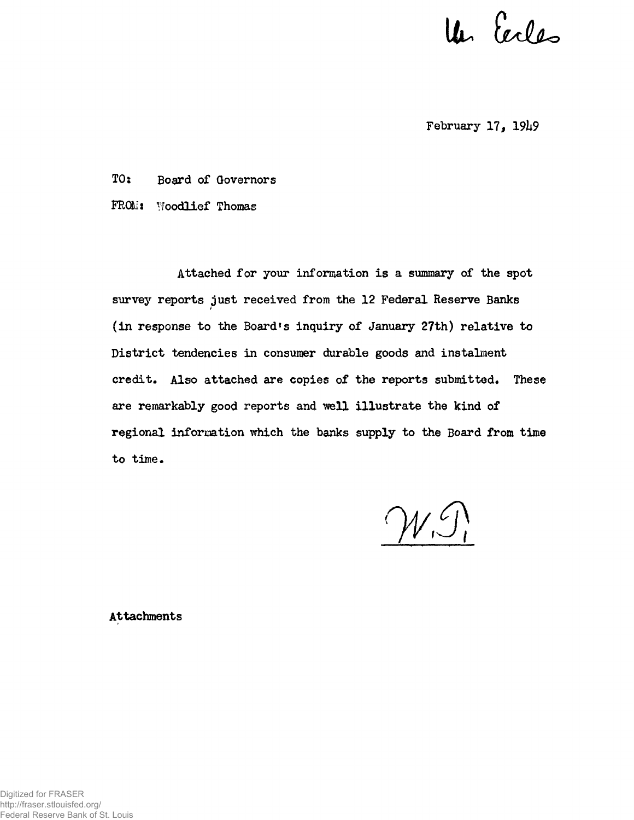Un Cecles

**February 17, 19h9**

**TO; Board of Governors FROM\* Woodlief Thomas**

**Attached for your information is a summary of the spot survey reports just received from the 12 Federal Reserve Banks (in response to the Board's inquiry of January 27th) relative to District tendencies in consumer durable goods and instalment credit. Also attached are copies of the reports submitted\* These are remarkably good reports and well illustrate the kind of regional information which the banks supply to the Board from time to time.**

 $W.S.$ 

**Attachments**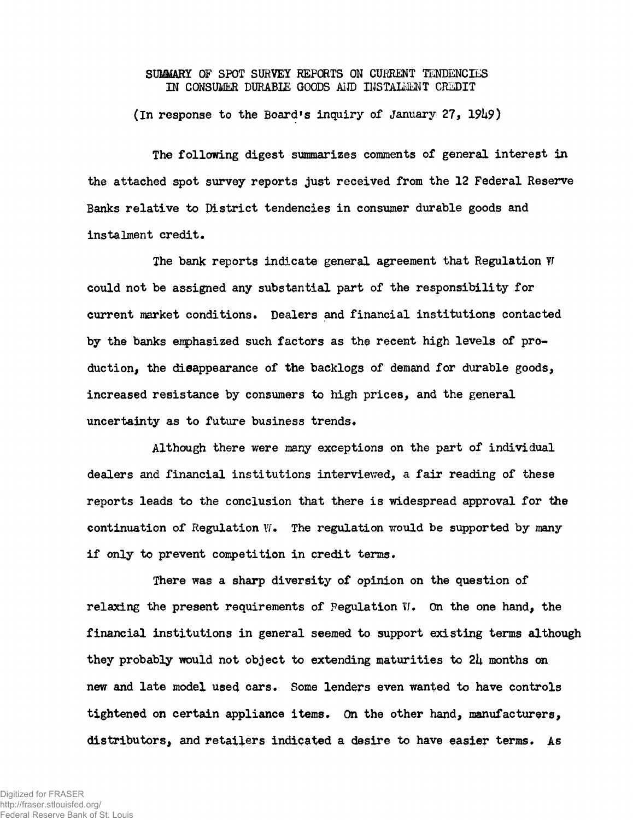## SUMMARY OF SPOT SURVEY REPORTS ON CURRENT TENDENCIES IN CONSUMER DURABLE GOODS AIID INSTALMENT CREDIT

**(In response to the Board »s inquiry of January 27, 19U9)**

**The following digest summarizes comments of general interest in the attached spot survey reports just received from the 12 Federal Reserve Banks relative to District tendencies in consumer durable goods and** instalment credit.

**The bank reports indicate general agreement that Regulation V could not be assigned any substantial part of the responsibility for current market conditions. Dealers and financial institutions contacted by the banks emphasized such factors as the recent high levels of production, the disappearance of the backlogs of demand for durable goods, increased resistance by consumers to high prices, and the general** uncertainty as to future business trends.

Although there were many exceptions on the part of individual **dealers and financial institutions interviewed, a fair reading of these reports leads to the conclusion that there is widespread approval for the continuation of Regulation VI• The regulation would be supported by many if only to prevent competition in credit terms.**

**There was a sharp diversity of opinion on the question of** relaxing the present requirements of Pegulation W. On the one hand, the **financial institutions in general seemed to support existing terms although they probably would not object to extending maturities to 2U months on new and late model used cars. Some lenders even wanted to have controls tightened on certain appliance items. On the other hand, manufacturers,** distributors, and retailers indicated a desire to have easier terms. As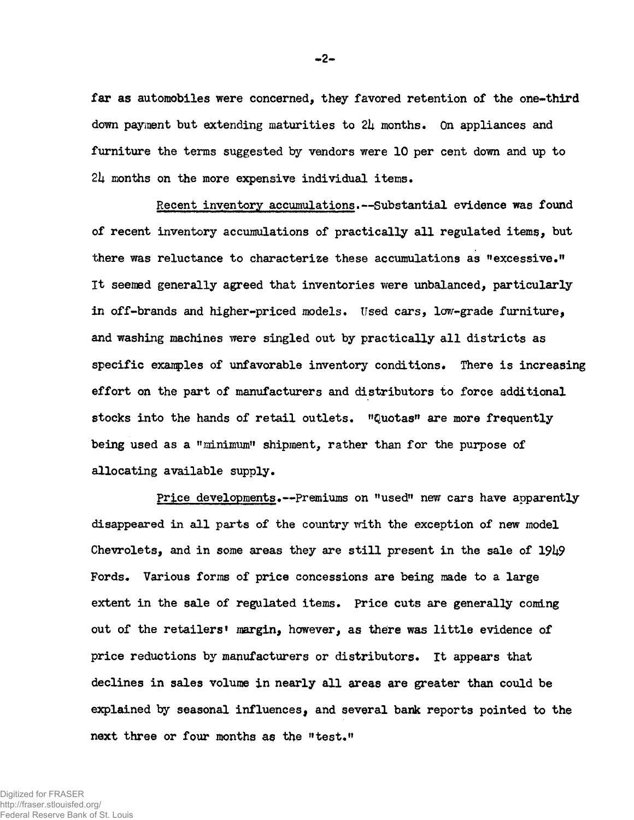**far as automobiles were concerned, they favored retention of the one-third down payment but extending maturities to 2k months. On appliances and furniture the terms suggested by vendors were 10 per cent down and up to 2k months on the more expensive individual items•**

Recent inventory accumulations.--Substantial evidence was found **of recent inventory accumulations of practically all regulated items, but there was reluctance to characterize these accumulations as "excessive." It seemed generally agreed that inventories were unbalanced, particularly in off-brands and higher-priced models. Used cars, low-grade furniture, and washing machines were singled out by practically all districts as** specific examples of unfavorable inventory conditions. There is increasing **effort on the part of manufacturers and distributors to force additional stocks into the hands of retail outlets. "Quotas" are more frequently being used as a "minimum" shipment, rather than for the purpose of allocating available supply.**

Price developments.--Premiums on "used" new cars have apparently **disappeared in all parts of the country with the exception of new model Chevrolets, and in some areas they are still present in the sale of 19U9 Fords. Various forms of price concessions are being made to a large extent in the sale of regulated items. Price cuts are generally coming out of the retailers<sup>1</sup> margin, however, as there was little evidence of price reductions by manufacturers or distributors. It appears that declines in sales volume in nearly all areas are greater than could be explained by seasonal influencesj and several bank reports pointed to the next three or four months as the "test."**

Digitized for FRASER http://fraser.stlouisfed.org/ Federal Reserve Bank of St. Louis **- 2-**